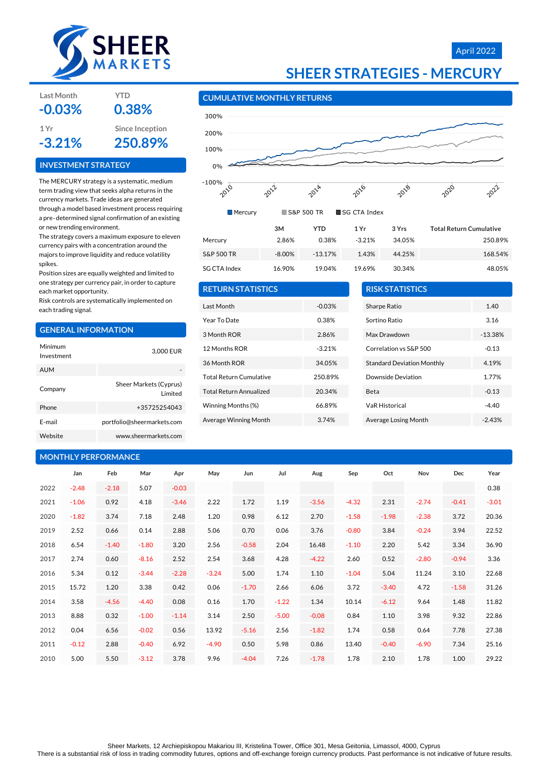

### April 2022



#### **CUMULATIVE MONTHLY RETURNS**



| <b>RETURN STATISTICS</b>       |          |
|--------------------------------|----------|
| Last Month                     | $-0.03%$ |
| Year To Date                   | 0.38%    |
| 3 Month ROR                    | 2.86%    |
| 12 Months ROR                  | $-3.21%$ |
| 36 Month ROR                   | 34 05%   |
| <b>Total Return Cumulative</b> | 250.89%  |
| <b>Total Return Annualized</b> | 20.34%   |
| Winning Months (%)             | 66.89%   |
| Average Winning Month          | 3.74%    |
|                                |          |

| <b>RISK STATISTICS</b>            |           |
|-----------------------------------|-----------|
| Sharpe Ratio                      | 1.40      |
| Sortino Ratio                     | 3.16      |
| Max Drawdown                      | $-13.38%$ |
| Correlation vs S&P 500            | $-0.13$   |
| <b>Standard Deviation Monthly</b> | 4.19%     |
| Downside Deviation                | 1.77%     |
| Beta                              | $-0.13$   |
| <b>VaR Historical</b>             | $-4.40$   |
| Average Losing Month              | $-2.43%$  |

| <b>MONTHLY PERFORMANCE</b> |         |         |         |         |         |         |         |         |         |         |         |         |         |
|----------------------------|---------|---------|---------|---------|---------|---------|---------|---------|---------|---------|---------|---------|---------|
|                            | Jan     | Feb     | Mar     | Apr     | May     | Jun     | Jul     | Aug     | Sep     | Oct     | Nov     | Dec     | Year    |
| 2022                       | $-2.48$ | $-2.18$ | 5.07    | $-0.03$ |         |         |         |         |         |         |         |         | 0.38    |
| 2021                       | $-1.06$ | 0.92    | 4.18    | $-3.46$ | 2.22    | 1.72    | 1.19    | $-3.56$ | $-4.32$ | 2.31    | $-2.74$ | $-0.41$ | $-3.01$ |
| 2020                       | $-1.82$ | 3.74    | 7.18    | 2.48    | 1.20    | 0.98    | 6.12    | 2.70    | $-1.58$ | $-1.98$ | $-2.38$ | 3.72    | 20.36   |
| 2019                       | 2.52    | 0.66    | 0.14    | 2.88    | 5.06    | 0.70    | 0.06    | 3.76    | $-0.80$ | 3.84    | $-0.24$ | 3.94    | 22.52   |
| 2018                       | 6.54    | $-1.40$ | $-1.80$ | 3.20    | 2.56    | $-0.58$ | 2.04    | 16.48   | $-1.10$ | 2.20    | 5.42    | 3.34    | 36.90   |
| 2017                       | 2.74    | 0.60    | $-8.16$ | 2.52    | 2.54    | 3.68    | 4.28    | $-4.22$ | 2.60    | 0.52    | $-2.80$ | $-0.94$ | 3.36    |
| 2016                       | 5.34    | 0.12    | $-3.44$ | $-2.28$ | $-3.24$ | 5.00    | 1.74    | 1.10    | $-1.04$ | 5.04    | 11.24   | 3.10    | 22.68   |
| 2015                       | 15.72   | 1.20    | 3.38    | 0.42    | 0.06    | $-1.70$ | 2.66    | 6.06    | 3.72    | $-3.40$ | 4.72    | $-1.58$ | 31.26   |
| 2014                       | 3.58    | $-4.56$ | $-4.40$ | 0.08    | 0.16    | 1.70    | $-1.22$ | 1.34    | 10.14   | $-6.12$ | 9.64    | 1.48    | 11.82   |
| 2013                       | 8.88    | 0.32    | $-1.00$ | $-1.14$ | 3.14    | 2.50    | $-5.00$ | $-0.08$ | 0.84    | 1.10    | 3.98    | 9.32    | 22.86   |
| 2012                       | 0.04    | 6.56    | $-0.02$ | 0.56    | 13.92   | $-5.16$ | 2.56    | $-1.82$ | 1.74    | 0.58    | 0.64    | 7.78    | 27.38   |
| 2011                       | $-0.12$ | 2.88    | $-0.40$ | 6.92    | $-4.90$ | 0.50    | 5.98    | 0.86    | 13.40   | $-0.40$ | $-6.90$ | 7.34    | 25.16   |
| 2010                       | 5.00    | 5.50    | $-3.12$ | 3.78    | 9.96    | $-4.04$ | 7.26    | $-1.78$ | 1.78    | 2.10    | 1.78    | 1.00    | 29.22   |

### **Last Month YTD -0.03% 0.38%**

**1 Yr Since Inception -3.21% 250.89%**

#### **INVESTMENT STRATEGY**

The MERCURY strategy is a systematic, medium term trading view that seeks alpha returns in the currency markets. Trade ideas are generated through a model based investment process requiring a pre‐determined signal confirmation of an existing or new trending environment.

The strategy covers a maximum exposure to eleven currency pairs with a concentration around the majors to improve liquidity and reduce volatility spikes.

Position sizes are equally weighted and limited to one strategy per currency pair, in order to capture each market opportunity.

Risk controls are systematically implemented on each trading signal.

#### **GENERAL INFORMATION**

| Minimum<br>Investment | 3,000 EUR                          |
|-----------------------|------------------------------------|
| AUM                   |                                    |
| Company               | Sheer Markets (Cyprus)<br>I imited |
| Phone                 | +35725254043                       |
| F-mail                | portfolio@sheermarkets.com         |
| Website               | www.sheermarkets.com               |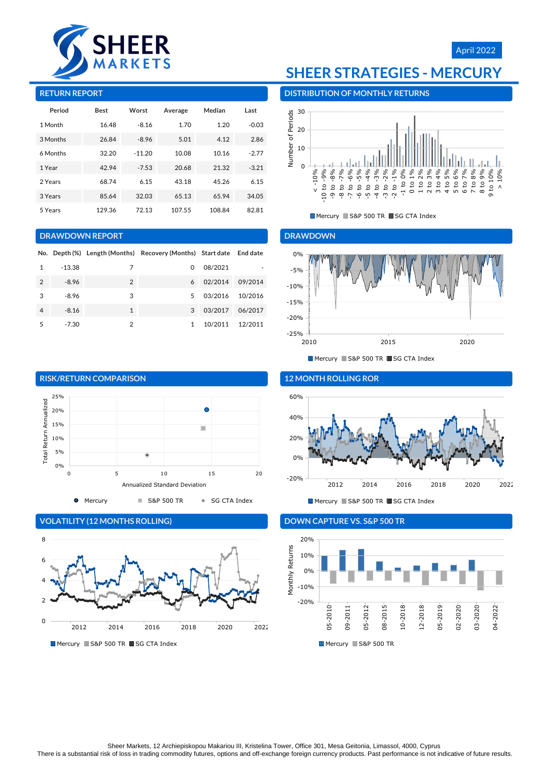

#### **RETURN REPORT**

| Period   | <b>Best</b> | Worst    | Average | Median | Last    |
|----------|-------------|----------|---------|--------|---------|
| 1 Month  | 16.48       | $-8.16$  | 1.70    | 1.20   | $-0.03$ |
| 3 Months | 26.84       | $-8.96$  | 5.01    | 4.12   | 2.86    |
| 6 Months | 32.20       | $-11.20$ | 10.08   | 10.16  | $-2.77$ |
| 1 Year   | 42.94       | $-7.53$  | 20.68   | 21.32  | $-3.21$ |
| 2 Years  | 68.74       | 6.15     | 43.18   | 45.26  | 6.15    |
| 3 Years  | 85.64       | 32.03    | 65.13   | 65.94  | 34.05   |
| 5 Years  | 129.36      | 72.13    | 107.55  | 108.84 | 82.81   |

#### **DRAWDOWN REPORT**

|                |         |                | No. Depth (%) Length (Months) Recovery (Months) Start date End date |         |         |
|----------------|---------|----------------|---------------------------------------------------------------------|---------|---------|
| 1              | -13.38  | 7              | 0                                                                   | 08/2021 |         |
| $\overline{2}$ | $-8.96$ | $\overline{2}$ | 6                                                                   | 02/2014 | 09/2014 |
| 3              | $-8.96$ | 3              | 5                                                                   | 03/2016 | 10/2016 |
| 4              | $-8.16$ | $\mathbf{1}$   | 3                                                                   | 03/2017 | 06/2017 |
| 5              | $-7.30$ | 2              | 1                                                                   | 10/2011 | 12/2011 |



### **VOLATILITY (12 MONTHS ROLLING)**



Mercury S&P 500 TR SG CTA Index

## **SHEER STRATEGIES - MERCURY**

**DISTRIBUTION OF MONTHLY RETURNS**



Mercury S&P 500 TR SG CTA Index

#### **DRAWDOWN**



Mercury S&P 500 TR SG CTA Index



Mercury S&P 500 TR SG CTA Index

### **DOWN CAPTURE VS. S&P 500 TR**